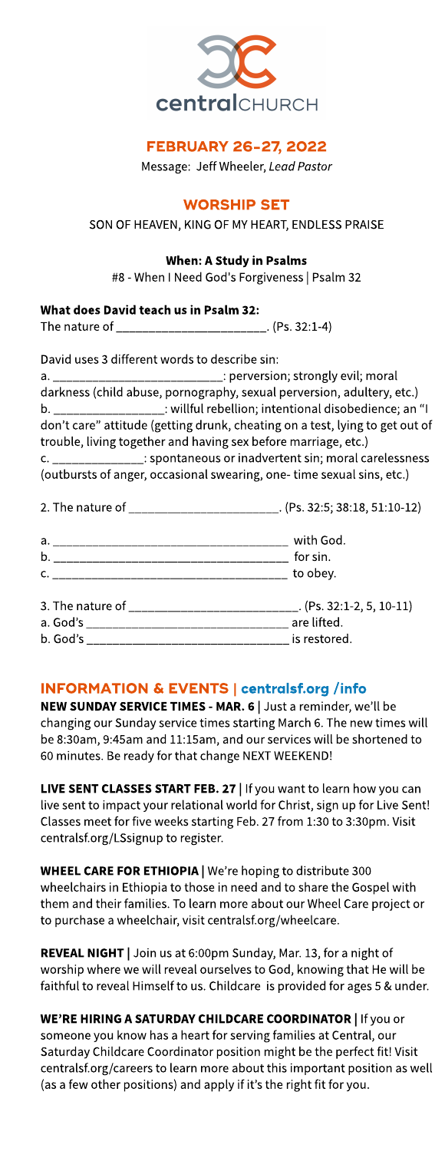

## FEBRUARY 26-27, 2022

Message: Jeff Wheeler, **LeadPastor**

## **WORSHIP SET**

#### SON OF HEAVEN, KING OF MY HEART, ENDLESS PRAISE

#### When: A Study in Psalms

#8 - When I Need God's Forgiveness | Psalm 32

# What does David teach us in Psalm 32:

The nature of \_\_\_\_\_\_\_\_\_\_\_\_\_\_\_\_\_\_\_\_\_\_\_.(Ps. 32:1-4)

| a. __________________________: perversion; strongly evil; moral              |
|------------------------------------------------------------------------------|
| darkness (child abuse, pornography, sexual perversion, adultery, etc.)       |
| b. _________________: willful rebellion; intentional disobedience; an "I     |
| don't care" attitude (getting drunk, cheating on a test, lying to get out of |
| trouble, living together and having sex before marriage, etc.)               |
| c. ______________: spontaneous or inadvertent sin; moral carelessness        |
| (outbursts of anger, occasional swearing, one-time sexual sins, etc.)        |

|                | 2. The nature of _________________________. (Ps. 32:5; 38:18, 51:10-12) |
|----------------|-------------------------------------------------------------------------|
|                | with God.                                                               |
| b.             | for sin.                                                                |
| $\mathsf{C}$ . | to obey.                                                                |
|                | 3. The nature of ____________________________. (Ps. 32:1-2, 5, 10-11)   |
|                | are lifted.                                                             |
|                | is restored.                                                            |

## INFORMATION& EVENTS| **[centralsf.org/info](http://centralsf.org/info)**

NEW SUNDAY SERVICE TIMES - MAR. 6 | Just a reminder, we'll be changing our Sunday service times starting March 6. The new times will be 8:30am, 9:45am and 11:15am, and our serviceswill be shortened to 60 minutes. Be ready for that change NEXT WEEKEND!

LIVE SENT CLASSES START FEB. 27 | If you want to learn how you can live sent to impact your relational world for Christ, sign up for Live Sent! Classes meet for five weeks starting Feb. 27 from 1:30 to 3:30pm. Visit centralsf.org/LSsignup to register.

WHEEL CARE FOR ETHIOPIA | We're hoping to distribute 300 wheelchairs in Ethiopia to those in need and to share the Gospel with them and their families. To learn more about our Wheel Care project or to purchase a wheelchair, visit centralsf.org/wheelcare.

REVEAL NIGHT | Join us at 6:00pm Sunday, Mar. 13, for a night of worship where we will reveal ourselves to God, knowing that He will be faithful to reveal Himself to us. Childcare is provided for ages 5 & under.

WE'RE HIRING A SATURDAY CHILDCARE COORDINATOR | If you or someone you know has a heart for serving families at Central, our Saturday Childcare Coordinator position might be the perfect fit! Visit centralsf.org/careers to learn more about this important position as well (as a few other positions) and apply if it's the right fit for you.